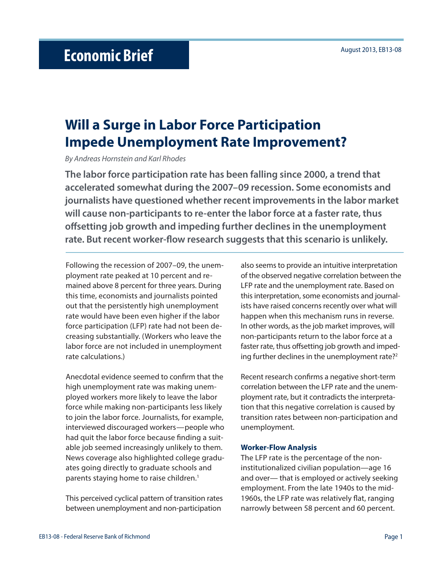## **Will a Surge in Labor Force Participation Impede Unemployment Rate Improvement?**

By Andreas Hornstein and Karl Rhodes

**The labor force participation rate has been falling since 2000, a trend that accelerated somewhat during the 2007–09 recession. Some economists and journalists have questioned whether recent improvements in the labor market will cause non-participants to re-enter the labor force at a faster rate, thus off setting job growth and impeding further declines in the unemployment**  rate. But recent worker-flow research suggests that this scenario is unlikely.

Following the recession of 2007–09, the unemployment rate peaked at 10 percent and remained above 8 percent for three years. During this time, economists and journalists pointed out that the persistently high unemployment rate would have been even higher if the labor force participation (LFP) rate had not been decreasing substantially. (Workers who leave the labor force are not included in unemployment rate calculations.)

Anecdotal evidence seemed to confirm that the high unemployment rate was making unemployed workers more likely to leave the labor force while making non-participants less likely to join the labor force. Journalists, for example, interviewed discouraged workers—people who had quit the labor force because finding a suitable job seemed increasingly unlikely to them. News coverage also highlighted college graduates going directly to graduate schools and parents staying home to raise children.<sup>1</sup>

This perceived cyclical pattern of transition rates between unemployment and non-participation

also seems to provide an intuitive interpretation of the observed negative correlation between the LFP rate and the unemployment rate. Based on this interpretation, some economists and journalists have raised concerns recently over what will happen when this mechanism runs in reverse. In other words, as the job market improves, will non-participants return to the labor force at a faster rate, thus offsetting job growth and impeding further declines in the unemployment rate?<sup>2</sup>

Recent research confirms a negative short-term correlation between the LFP rate and the unemployment rate, but it contradicts the interpretation that this negative correlation is caused by transition rates between non-participation and unemployment.

## **Worker-Flow Analysis**

The LFP rate is the percentage of the noninstitutionalized civilian population—age 16 and over— that is employed or actively seeking employment. From the late 1940s to the mid-1960s, the LFP rate was relatively flat, ranging narrowly between 58 percent and 60 percent.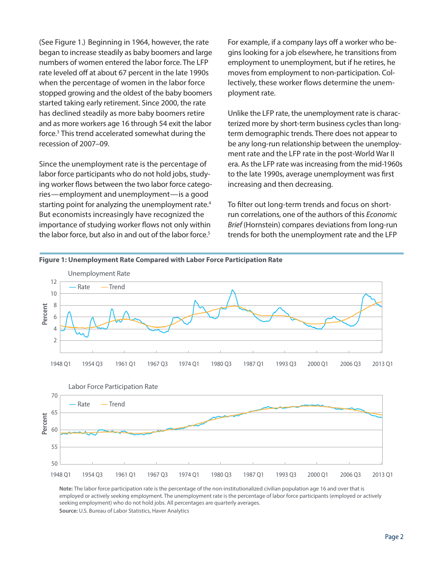(See Figure 1.) Beginning in 1964, however, the rate began to increase steadily as baby boomers and large numbers of women entered the labor force. The LFP rate leveled off at about 67 percent in the late 1990s when the percentage of women in the labor force stopped growing and the oldest of the baby boomers started taking early retirement. Since 2000, the rate has declined steadily as more baby boomers retire and as more workers age 16 through 54 exit the labor force.3 This trend accelerated somewhat during the recession of 2007–09.

Since the unemployment rate is the percentage of labor force participants who do not hold jobs, studying worker flows between the two labor force categories—employment and unemployment—is a good starting point for analyzing the unemployment rate.<sup>4</sup> But economists increasingly have recognized the importance of studying worker flows not only within the labor force, but also in and out of the labor force.<sup>5</sup>

For example, if a company lays off a worker who begins looking for a job elsewhere, he transitions from employment to unemployment, but if he retires, he moves from employment to non-participation. Collectively, these worker flows determine the unemployment rate.

Unlike the LFP rate, the unemployment rate is characterized more by short-term business cycles than longterm demographic trends. There does not appear to be any long-run relationship between the unemployment rate and the LFP rate in the post-World War II era. As the LFP rate was increasing from the mid-1960s to the late 1990s, average unemployment was first increasing and then decreasing.

To filter out long-term trends and focus on shortrun correlations, one of the authors of this Economic Brief (Hornstein) compares deviations from long-run trends for both the unemployment rate and the LFP



**Note:** The labor force participation rate is the percentage of the non-institutionalized civilian population age 16 and over that is employed or actively seeking employment. The unemployment rate is the percentage of labor force participants (employed or actively seeking employment) who do not hold jobs. All percentages are quarterly averages. **Source:** U.S. Bureau of Labor Statistics, Haver Analytics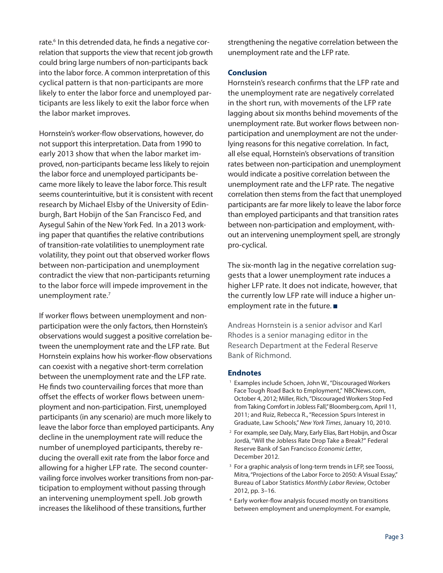rate.<sup>6</sup> In this detrended data, he finds a negative correlation that supports the view that recent job growth could bring large numbers of non-participants back into the labor force. A common interpretation of this cyclical pattern is that non-participants are more likely to enter the labor force and unemployed participants are less likely to exit the labor force when the labor market improves.

Hornstein's worker-flow observations, however, do not support this interpretation. Data from 1990 to early 2013 show that when the labor market improved, non-participants became less likely to rejoin the labor force and unemployed participants became more likely to leave the labor force. This result seems counterintuitive, but it is consistent with recent research by Michael Elsby of the University of Edinburgh, Bart Hobijn of the San Francisco Fed, and Aysegul Sahin of the New York Fed. In a 2013 working paper that quantifies the relative contributions of transition-rate volatilities to unemployment rate volatility, they point out that observed worker flows between non-participation and unemployment contradict the view that non-participants returning to the labor force will impede improvement in the unemployment rate.<sup>7</sup>

If worker flows between unemployment and nonparticipation were the only factors, then Hornstein's observations would suggest a positive correlation between the unemployment rate and the LFP rate. But Hornstein explains how his worker-flow observations can coexist with a negative short-term correlation between the unemployment rate and the LFP rate. He finds two countervailing forces that more than offset the effects of worker flows between unemployment and non-participation. First, unemployed participants (in any scenario) are much more likely to leave the labor force than employed participants. Any decline in the unemployment rate will reduce the number of unemployed participants, thereby reducing the overall exit rate from the labor force and allowing for a higher LFP rate. The second countervailing force involves worker transitions from non-participation to employment without passing through an intervening unemployment spell. Job growth increases the likelihood of these transitions, further

strengthening the negative correlation between the unemployment rate and the LFP rate.

## **Conclusion**

Hornstein's research confirms that the LFP rate and the unemployment rate are negatively correlated in the short run, with movements of the LFP rate lagging about six months behind movements of the unemployment rate. But worker flows between nonparticipation and unemployment are not the underlying reasons for this negative correlation. In fact, all else equal, Hornstein's observations of transition rates between non-participation and unemployment would indicate a positive correlation between the unemployment rate and the LFP rate. The negative correlation then stems from the fact that unemployed participants are far more likely to leave the labor force than employed participants and that transition rates between non-participation and employment, without an intervening unemployment spell, are strongly pro-cyclical.

The six-month lag in the negative correlation suggests that a lower unemployment rate induces a higher LFP rate. It does not indicate, however, that the currently low LFP rate will induce a higher unemployment rate in the future.

Andreas Hornstein is a senior advisor and Karl Rhodes is a senior managing editor in the Research Department at the Federal Reserve Bank of Richmond.

## **Endnotes**

- Examples include Schoen, John W., "Discouraged Workers Face Tough Road Back to Employment," NBCNews.com, October 4, 2012; Miller, Rich, "Discouraged Workers Stop Fed from Taking Comfort in Jobless Fall," Bloomberg.com, April 11, 2011; and Ruiz, Rebecca R., "Recession Spurs Interest in Graduate, Law Schools," New York Times, January 10, 2010.
- 2 For example, see Daly, Mary, Early Elias, Bart Hobijn, and Òscar Jordà, "Will the Jobless Rate Drop Take a Break?" Federal Reserve Bank of San Francisco Economic Letter, December 2012.
- <sup>3</sup> For a graphic analysis of long-term trends in LFP, see Toossi, Mitra, "Projections of the Labor Force to 2050: A Visual Essay," Bureau of Labor Statistics Monthly Labor Review, October 2012, pp. 3–16.
- <sup>4</sup> Early worker-flow analysis focused mostly on transitions between employment and unemployment. For example,